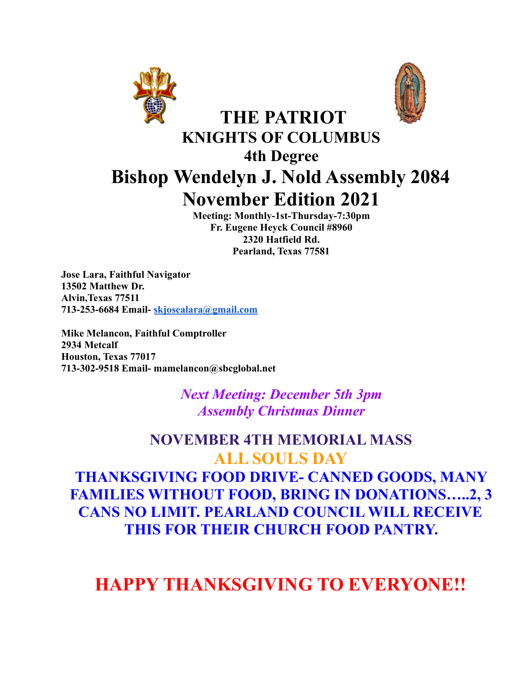



# **THE PATRIOT KNIGHTS OF COLUMBUS 4th Degree Bishop Wendelyn J. Nold Assembly 2084 November Edition 2021**

**Meeting: Monthly-1st-Thursday-7:30pm Fr. Eugene Heyck Council #8960 2320 Hatfield Rd. Pearland, Texas 77581**

**Jose Lara, Faithful Navigator 13502 Matthew Dr. Alvin,Texas 77511 713-253-6684 Email- [skjosealara@gmail.com](mailto:skjosealara@gmail.com)**

**Mike Melancon, Faithful Comptroller 2934 Metcalf Houston, Texas 77017 713-302-9518 Email- mamelancon@sbcglobal.net**

> *Next Meeting: December 5th 3pm Assembly Christmas Dinner*

# **NOVEMBER 4TH MEMORIAL MASS ALL SOULS DAY THANKSGIVING FOOD DRIVE- CANNED GOODS, MANY FAMILIES WITHOUT FOOD, BRING IN DONATIONS…..2, 3 CANS NO LIMIT. PEARLAND COUNCIL WILL RECEIVE THIS FOR THEIR CHURCH FOOD PANTRY.**

# **HAPPY THANKSGIVING TO EVERYONE!!**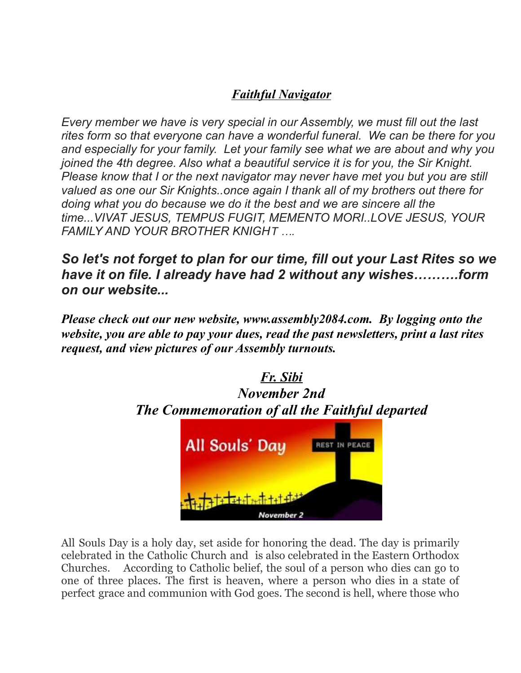### *Faithful Navigator*

*Every member we have is very special in our Assembly, we must fill out the last rites form so that everyone can have a wonderful funeral. We can be there for you and especially for your family. Let your family see what we are about and why you joined the 4th degree. Also what a beautiful service it is for you, the Sir Knight. Please know that I or the next navigator may never have met you but you are still valued as one our Sir Knights..once again I thank all of my brothers out there for doing what you do because we do it the best and we are sincere all the time...VIVAT JESUS, TEMPUS FUGIT, MEMENTO MORI..LOVE JESUS, YOUR FAMILY AND YOUR BROTHER KNIGHT ….*

*So let's not forget to plan for our time, fill out your Last Rites so we have it on file. I already have had 2 without any wishes……….form on our website...*

*Please check out our new website, www.assembly2084.com. By logging onto the website, you are able to pay your dues, read the past newsletters, print a last rites request, and view pictures of our Assembly turnouts.*



All Souls Day is a holy day, set aside for honoring the dead. The day is primarily celebrated in the Catholic Church and is also celebrated in the Eastern Orthodox Churches. According to Catholic belief, the soul of a person who dies can go to one of three places. The first is heaven, where a person who dies in a state of perfect grace and communion with God goes. The second is hell, where those who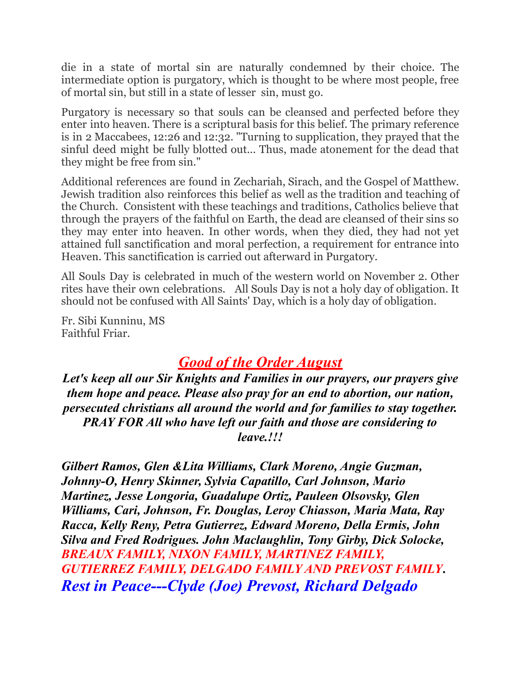die in a state of mortal sin are naturally condemned by their choice. The intermediate option is purgatory, which is thought to be where most people, free of mortal sin, but still in a state of lesser sin, must go.

Purgatory is necessary so that souls can be cleansed and perfected before they enter into heaven. There is a scriptural basis for this belief. The primary reference is in 2 Maccabees, 12:26 and 12:32. "Turning to supplication, they prayed that the sinful deed might be fully blotted out... Thus, made atonement for the dead that they might be free from sin."

Additional references are found in Zechariah, Sirach, and the Gospel of Matthew. Jewish tradition also reinforces this belief as well as the tradition and teaching of the Church. Consistent with these teachings and traditions, Catholics believe that through the prayers of the faithful on Earth, the dead are cleansed of their sins so they may enter into heaven. In other words, when they died, they had not yet attained full sanctification and moral perfection, a requirement for entrance into Heaven. This sanctification is carried out afterward in Purgatory.

All Souls Day is celebrated in much of the western world on November 2. Other rites have their own celebrations. All Souls Day is not a holy day of obligation. It should not be confused with All Saints' Day, which is a holy day of obligation.

Fr. Sibi Kunninu, MS Faithful Friar.

# *Good of the Order August*

*Let's keep all our Sir Knights and Families in our prayers, our prayers give them hope and peace. Please also pray for an end to abortion, our nation, persecuted christians all around the world and for families to stay together. PRAY FOR All who have left our faith and those are considering to leave.!!!*

*Gilbert Ramos, Glen &Lita Williams, Clark Moreno, Angie Guzman, Johnny-O, Henry Skinner, Sylvia Capatillo, Carl Johnson, Mario Martinez, Jesse Longoria, Guadalupe Ortiz, Pauleen Olsovsky, Glen Williams, Cari, Johnson, Fr. Douglas, Leroy Chiasson, Maria Mata, Ray Racca, Kelly Reny, Petra Gutierrez, Edward Moreno, Della Ermis, John Silva and Fred Rodrigues. John Maclaughlin, Tony Girby, Dick Solocke, BREAUX FAMILY, NIXON FAMILY, MARTINEZ FAMILY, GUTIERREZ FAMILY, DELGADO FAMILY AND PREVOST FAMILY. Rest in Peace---Clyde (Joe) Prevost, Richard Delgado*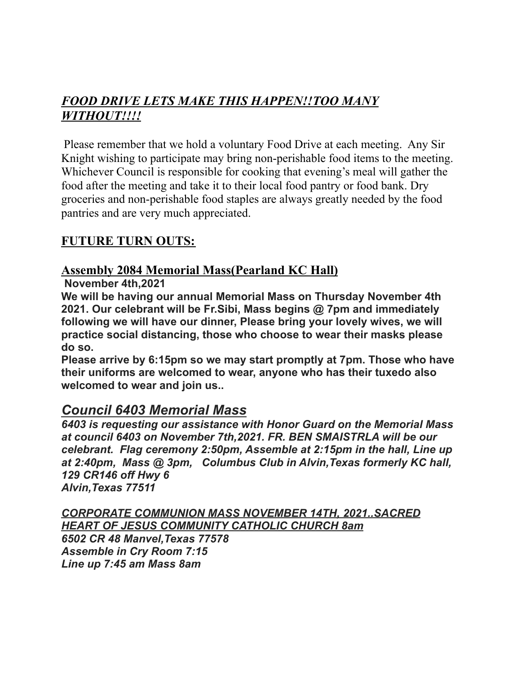### *FOOD DRIVE LETS MAKE THIS HAPPEN!!TOO MANY WITHOUT!!!!*

Please remember that we hold a voluntary Food Drive at each meeting. Any Sir Knight wishing to participate may bring non-perishable food items to the meeting. Whichever Council is responsible for cooking that evening's meal will gather the food after the meeting and take it to their local food pantry or food bank. Dry groceries and non-perishable food staples are always greatly needed by the food pantries and are very much appreciated.

#### **FUTURE TURN OUTS:**

#### **Assembly 2084 Memorial Mass(Pearland KC Hall)**

**November 4th,2021**

**We will be having our annual Memorial Mass on Thursday November 4th 2021. Our celebrant will be Fr.Sibi, Mass begins @ 7pm and immediately following we will have our dinner, Please bring your lovely wives, we will practice social distancing, those who choose to wear their masks please do so.**

**Please arrive by 6:15pm so we may start promptly at 7pm. Those who have their uniforms are welcomed to wear, anyone who has their tuxedo also welcomed to wear and join us..**

#### *Council 6403 Memorial Mass*

*6403 is requesting our assistance with Honor Guard on the Memorial Mass at council 6403 on November 7th,2021. FR. BEN SMAISTRLA will be our celebrant. Flag ceremony 2:50pm, Assemble at 2:15pm in the hall, Line up at 2:40pm, Mass @ 3pm, Columbus Club in Alvin,Texas formerly KC hall, 129 CR146 off Hwy 6 Alvin,Texas 77511*

*CORPORATE COMMUNION MASS NOVEMBER 14TH, 2021..SACRED HEART OF JESUS COMMUNITY CATHOLIC CHURCH 8am 6502 CR 48 Manvel,Texas 77578 Assemble in Cry Room 7:15 Line up 7:45 am Mass 8am*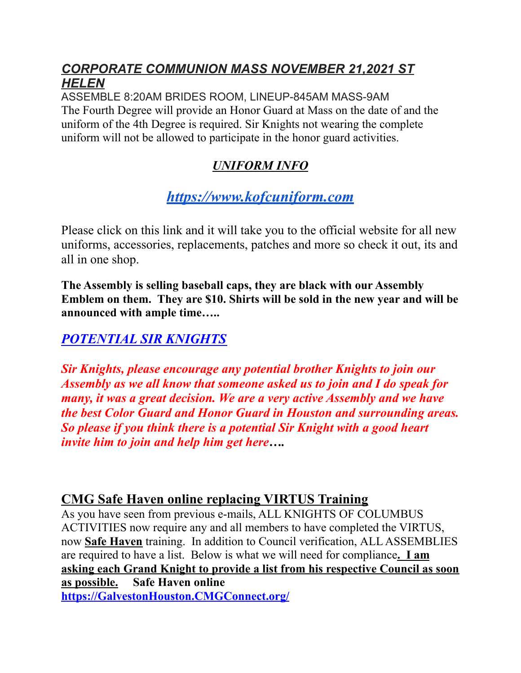#### *CORPORATE COMMUNION MASS NOVEMBER 21,2021 ST HELEN*

ASSEMBLE 8:20AM BRIDES ROOM, LINEUP-845AM MASS-9AM The Fourth Degree will provide an Honor Guard at Mass on the date of and the uniform of the 4th Degree is required. Sir Knights not wearing the complete uniform will not be allowed to participate in the honor guard activities.

# *UNIFORM INFO*

# *[https://www.kofcuniform.com](https://www.kofcuniform.com/uniform-packages/package/knights-of-columbus-executive-fit-uniform-package-uniform-package/)*

Please click on this link and it will take you to the official website for all new uniforms, accessories, replacements, patches and more so check it out, its and all in one shop.

**The Assembly is selling baseball caps, they are black with our Assembly Emblem on them. They are \$10. Shirts will be sold in the new year and will be announced with ample time…..**

### *POTENTIAL SIR KNIGHTS*

*Sir Knights, please encourage any potential brother Knights to join our Assembly as we all know that someone asked us to join and I do speak for many, it was a great decision. We are a very active Assembly and we have the best Color Guard and Honor Guard in Houston and surrounding areas. So please if you think there is a potential Sir Knight with a good heart invite him to join and help him get here….*

### **CMG Safe Haven online replacing VIRTUS Training**

As you have seen from previous e-mails, ALL KNIGHTS OF COLUMBUS ACTIVITIES now require any and all members to have completed the VIRTUS, now **Safe Haven** training. In addition to Council verification, ALL ASSEMBLIES are required to have a list. Below is what we will need for compliance**. I am asking each Grand Knight to provide a list from his respective Council as soon as possible. Safe Haven online [https://GalvestonHouston.CMGConnect.org/](https://galvestonhouston.cmgconnect.org/)**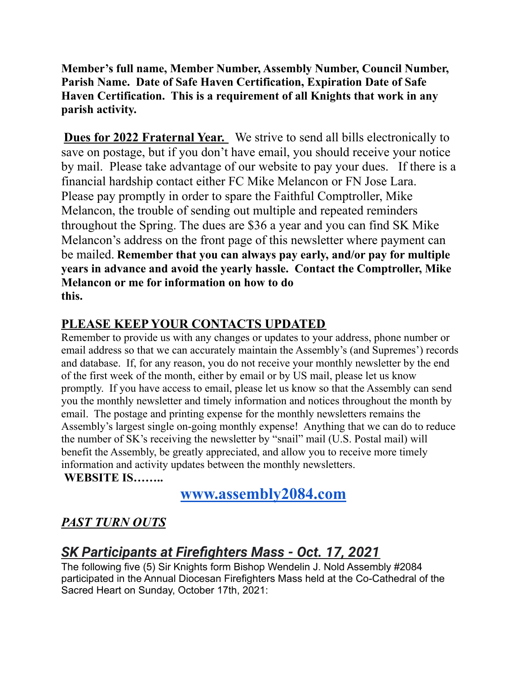**Member's full name, Member Number, Assembly Number, Council Number, Parish Name. Date of Safe Haven Certification, Expiration Date of Safe Haven Certification. This is a requirement of all Knights that work in any parish activity.**

**Dues for 2022 Fraternal Year.** We strive to send all bills electronically to save on postage, but if you don't have email, you should receive your notice by mail. Please take advantage of our website to pay your dues. If there is a financial hardship contact either FC Mike Melancon or FN Jose Lara. Please pay promptly in order to spare the Faithful Comptroller, Mike Melancon, the trouble of sending out multiple and repeated reminders throughout the Spring. The dues are \$36 a year and you can find SK Mike Melancon's address on the front page of this newsletter where payment can be mailed. **Remember that you can always pay early, and/or pay for multiple years in advance and avoid the yearly hassle. Contact the Comptroller, Mike Melancon or me for information on how to do this.**

#### **PLEASE KEEP YOUR CONTACTS UPDATED**

Remember to provide us with any changes or updates to your address, phone number or email address so that we can accurately maintain the Assembly's (and Supremes') records and database. If, for any reason, you do not receive your monthly newsletter by the end of the first week of the month, either by email or by US mail, please let us know promptly. If you have access to email, please let us know so that the Assembly can send you the monthly newsletter and timely information and notices throughout the month by email. The postage and printing expense for the monthly newsletters remains the Assembly's largest single on-going monthly expense! Anything that we can do to reduce the number of SK's receiving the newsletter by "snail" mail (U.S. Postal mail) will benefit the Assembly, be greatly appreciated, and allow you to receive more timely information and activity updates between the monthly newsletters. **WEBSITE IS……..**

**[www.assembly2084.com](http://www.assembly2084.com)**

### *PAST TURN OUTS*

# *SK Participants at Firefighters Mass - Oct. 17, 2021*

The following five (5) Sir Knights form Bishop Wendelin J. Nold Assembly #2084 participated in the Annual Diocesan Firefighters Mass held at the Co-Cathedral of the Sacred Heart on Sunday, October 17th, 2021: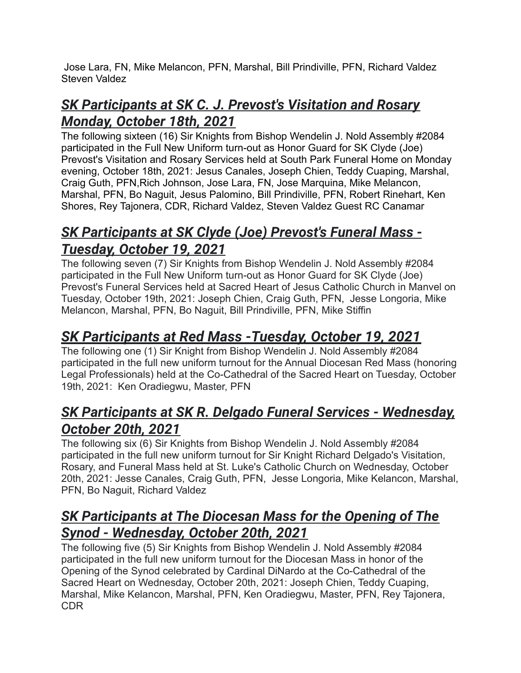Jose Lara, FN, Mike Melancon, PFN, Marshal, Bill Prindiville, PFN, Richard Valdez Steven Valdez

# *SK Participants at SK C. J. Prevost's Visitation and Rosary Monday, October 18th, 2021*

The following sixteen (16) Sir Knights from Bishop Wendelin J. Nold Assembly #2084 participated in the Full New Uniform turn-out as Honor Guard for SK Clyde (Joe) Prevost's Visitation and Rosary Services held at South Park Funeral Home on Monday evening, October 18th, 2021: Jesus Canales, Joseph Chien, Teddy Cuaping, Marshal, Craig Guth, PFN,Rich Johnson, Jose Lara, FN, Jose Marquina, Mike Melancon, Marshal, PFN, Bo Naguit, Jesus Palomino, Bill Prindiville, PFN, Robert Rinehart, Ken Shores, Rey Tajonera, CDR, Richard Valdez, Steven Valdez Guest RC Canamar

# *SK Participants at SK Clyde (Joe) Prevost's Funeral Mass - Tuesday, October 19, 2021*

The following seven (7) Sir Knights from Bishop Wendelin J. Nold Assembly #2084 participated in the Full New Uniform turn-out as Honor Guard for SK Clyde (Joe) Prevost's Funeral Services held at Sacred Heart of Jesus Catholic Church in Manvel on Tuesday, October 19th, 2021: Joseph Chien, Craig Guth, PFN, Jesse Longoria, Mike Melancon, Marshal, PFN, Bo Naguit, Bill Prindiville, PFN, Mike Stiffin

# *SK Participants at Red Mass -Tuesday, October 19, 2021*

The following one (1) Sir Knight from Bishop Wendelin J. Nold Assembly #2084 participated in the full new uniform turnout for the Annual Diocesan Red Mass (honoring Legal Professionals) held at the Co-Cathedral of the Sacred Heart on Tuesday, October 19th, 2021: Ken Oradiegwu, Master, PFN

## *SK Participants at SK R. Delgado Funeral Services - Wednesday, October 20th, 2021*

The following six (6) Sir Knights from Bishop Wendelin J. Nold Assembly #2084 participated in the full new uniform turnout for Sir Knight Richard Delgado's Visitation, Rosary, and Funeral Mass held at St. Luke's Catholic Church on Wednesday, October 20th, 2021: Jesse Canales, Craig Guth, PFN, Jesse Longoria, Mike Kelancon, Marshal, PFN, Bo Naguit, Richard Valdez

# *SK Participants at The Diocesan Mass for the Opening of The Synod - Wednesday, October 20th, 2021*

The following five (5) Sir Knights from Bishop Wendelin J. Nold Assembly #2084 participated in the full new uniform turnout for the Diocesan Mass in honor of the Opening of the Synod celebrated by Cardinal DiNardo at the Co-Cathedral of the Sacred Heart on Wednesday, October 20th, 2021: Joseph Chien, Teddy Cuaping, Marshal, Mike Kelancon, Marshal, PFN, Ken Oradiegwu, Master, PFN, Rey Tajonera, CDR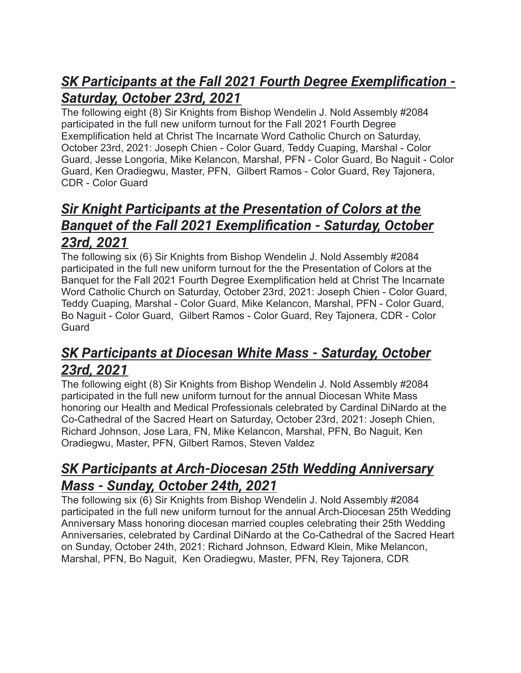# *SK Participants at the Fall 2021 Fourth Degree Exemplification - Saturday, October 23rd, 2021*

The following eight (8) Sir Knights from Bishop Wendelin J. Nold Assembly #2084 participated in the full new uniform turnout for the Fall 2021 Fourth Degree Exemplification held at Christ The Incarnate Word Catholic Church on Saturday, October 23rd, 2021: Joseph Chien - Color Guard, Teddy Cuaping, Marshal - Color Guard, Jesse Longoria, Mike Kelancon, Marshal, PFN - Color Guard, Bo Naguit - Color Guard, Ken Oradiegwu, Master, PFN, Gilbert Ramos - Color Guard, Rey Tajonera, CDR - Color Guard

# *Sir Knight Participants at the Presentation of Colors at the Banquet of the Fall 2021 Exemplification - Saturday, October 23rd, 2021*

The following six (6) Sir Knights from Bishop Wendelin J. Nold Assembly #2084 participated in the full new uniform turnout for the the Presentation of Colors at the Banquet for the Fall 2021 Fourth Degree Exemplification held at Christ The Incarnate Word Catholic Church on Saturday, October 23rd, 2021: Joseph Chien - Color Guard, Teddy Cuaping, Marshal - Color Guard, Mike Kelancon, Marshal, PFN - Color Guard, Bo Naguit - Color Guard, Gilbert Ramos - Color Guard, Rey Tajonera, CDR - Color **Guard** 

# *SK Participants at Diocesan White Mass - Saturday, October 23rd, 2021*

The following eight (8) Sir Knights from Bishop Wendelin J. Nold Assembly #2084 participated in the full new uniform turnout for the annual Diocesan White Mass honoring our Health and Medical Professionals celebrated by Cardinal DiNardo at the Co-Cathedral of the Sacred Heart on Saturday, October 23rd, 2021: Joseph Chien, Richard Johnson, Jose Lara, FN, Mike Kelancon, Marshal, PFN, Bo Naguit, Ken Oradiegwu, Master, PFN, Gilbert Ramos, Steven Valdez

# *SK Participants at Arch-Diocesan 25th Wedding Anniversary Mass - Sunday, October 24th, 2021*

The following six (6) Sir Knights from Bishop Wendelin J. Nold Assembly #2084 participated in the full new uniform turnout for the annual Arch-Diocesan 25th Wedding Anniversary Mass honoring diocesan married couples celebrating their 25th Wedding Anniversaries, celebrated by Cardinal DiNardo at the Co-Cathedral of the Sacred Heart on Sunday, October 24th, 2021: Richard Johnson, Edward Klein, Mike Melancon, Marshal, PFN, Bo Naguit, Ken Oradiegwu, Master, PFN, Rey Tajonera, CDR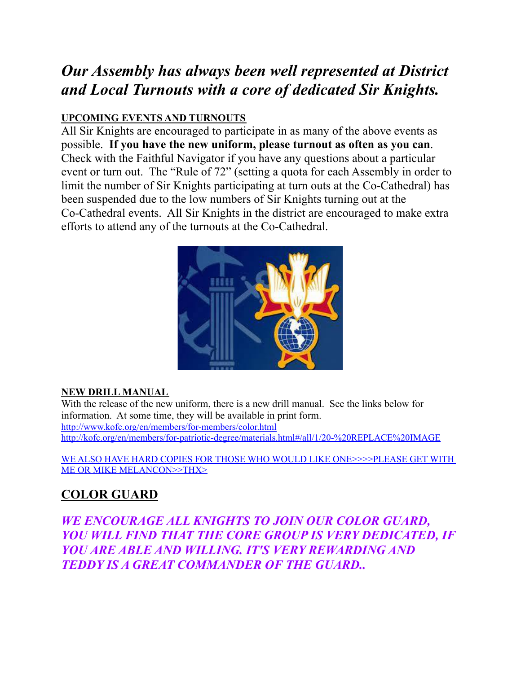# *Our Assembly has always been well represented at District and Local Turnouts with a core of dedicated Sir Knights.*

#### **UPCOMING EVENTS AND TURNOUTS**

All Sir Knights are encouraged to participate in as many of the above events as possible. **If you have the new uniform, please turnout as often as you can**. Check with the Faithful Navigator if you have any questions about a particular event or turn out. The "Rule of 72" (setting a quota for each Assembly in order to limit the number of Sir Knights participating at turn outs at the Co-Cathedral) has been suspended due to the low numbers of Sir Knights turning out at the Co-Cathedral events. All Sir Knights in the district are encouraged to make extra efforts to attend any of the turnouts at the Co-Cathedral.



#### **NEW DRILL MANUAL**

With the release of the new uniform, there is a new drill manual. See the links below for information. At some time, they will be available in print form. <http://www.kofc.org/en/members/for-members/color.html> <http://kofc.org/en/members/for-patriotic-degree/materials.html#/all/1/20-%20REPLACE%20IMAGE>

WE ALSO HAVE HARD COPIES FOR THOSE WHO WOULD LIKE ONE>>>>PLEASE GET WITH ME OR MIKE MELANCON>>THX>

### **COLOR GUARD**

*WE ENCOURAGE ALL KNIGHTS TO JOIN OUR COLOR GUARD, YOU WILL FIND THAT THE CORE GROUP IS VERY DEDICATED, IF YOU ARE ABLE AND WILLING. IT'S VERY REWARDING AND TEDDY IS A GREAT COMMANDER OF THE GUARD..*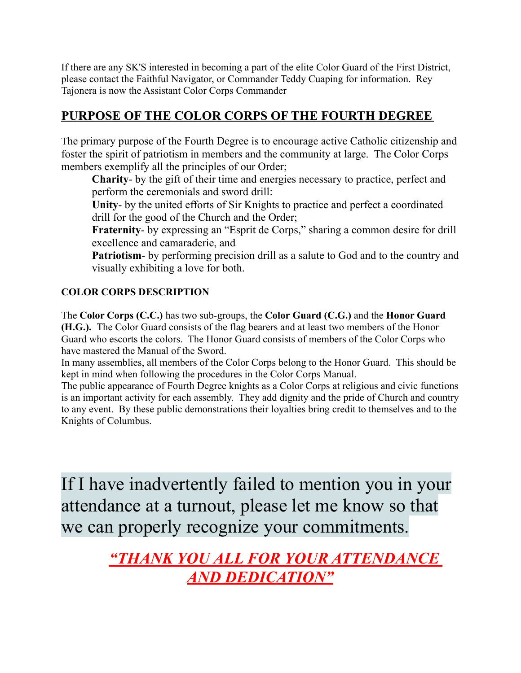If there are any SK'S interested in becoming a part of the elite Color Guard of the First District, please contact the Faithful Navigator, or Commander Teddy Cuaping for information. Rey Tajonera is now the Assistant Color Corps Commander

### **PURPOSE OF THE COLOR CORPS OF THE FOURTH DEGREE**

The primary purpose of the Fourth Degree is to encourage active Catholic citizenship and foster the spirit of patriotism in members and the community at large. The Color Corps members exemplify all the principles of our Order;

**Charity**- by the gift of their time and energies necessary to practice, perfect and perform the ceremonials and sword drill:

**Unity**- by the united efforts of Sir Knights to practice and perfect a coordinated drill for the good of the Church and the Order;

**Fraternity-** by expressing an "Esprit de Corps," sharing a common desire for drill excellence and camaraderie, and

**Patriotism**- by performing precision drill as a salute to God and to the country and visually exhibiting a love for both.

#### **COLOR CORPS DESCRIPTION**

The **Color Corps (C.C.)** has two sub-groups, the **Color Guard (C.G.)** and the **Honor Guard (H.G.).** The Color Guard consists of the flag bearers and at least two members of the Honor Guard who escorts the colors. The Honor Guard consists of members of the Color Corps who have mastered the Manual of the Sword.

In many assemblies, all members of the Color Corps belong to the Honor Guard. This should be kept in mind when following the procedures in the Color Corps Manual.

The public appearance of Fourth Degree knights as a Color Corps at religious and civic functions is an important activity for each assembly. They add dignity and the pride of Church and country to any event. By these public demonstrations their loyalties bring credit to themselves and to the Knights of Columbus.

If I have inadvertently failed to mention you in your attendance at a turnout, please let me know so that we can properly recognize your commitments.

> *"THANK YOU ALL FOR YOUR ATTENDANCE AND DEDICATION"*